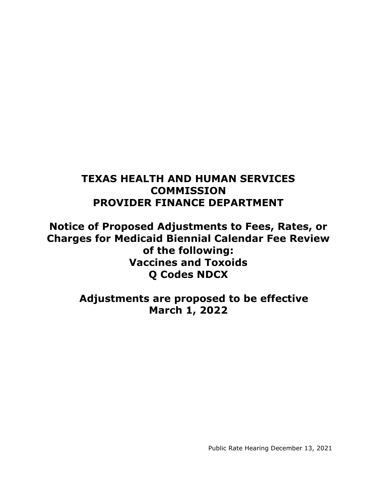# **TEXAS HEALTH AND HUMAN SERVICES COMMISSION PROVIDER FINANCE DEPARTMENT**

**Notice of Proposed Adjustments to Fees, Rates, or Charges for Medicaid Biennial Calendar Fee Review of the following: Vaccines and Toxoids Q Codes NDCX**

> **Adjustments are proposed to be effective March 1, 2022**

> > Public Rate Hearing December 13, 2021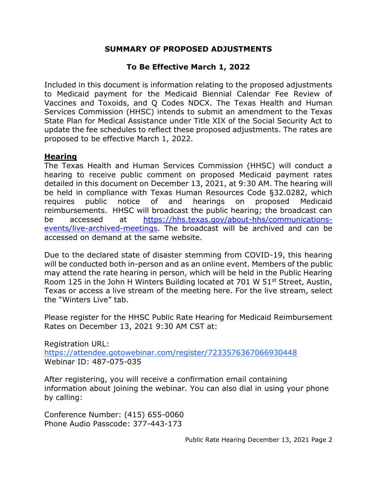#### **SUMMARY OF PROPOSED ADJUSTMENTS**

### **To Be Effective March 1, 2022**

Included in this document is information relating to the proposed adjustments to Medicaid payment for the Medicaid Biennial Calendar Fee Review of Vaccines and Toxoids, and Q Codes NDCX. The Texas Health and Human Services Commission (HHSC) intends to submit an amendment to the Texas State Plan for Medical Assistance under Title XIX of the Social Security Act to update the fee schedules to reflect these proposed adjustments. The rates are proposed to be effective March 1, 2022.

#### **Hearing**

The Texas Health and Human Services Commission (HHSC) will conduct a hearing to receive public comment on proposed Medicaid payment rates detailed in this document on December 13, 2021, at 9:30 AM. The hearing will be held in compliance with Texas Human Resources Code §32.0282, which requires public notice of and hearings on proposed Medicaid reimbursements. HHSC will broadcast the public hearing; the broadcast can be accessed at [https://hhs.texas.gov/about-hhs/communications](https://hhs.texas.gov/about-hhs/communications-events/live-archived-meetings)[events/live-archived-meetings.](https://hhs.texas.gov/about-hhs/communications-events/live-archived-meetings) The broadcast will be archived and can be accessed on demand at the same website.

Due to the declared state of disaster stemming from COVID-19, this hearing will be conducted both in-person and as an online event. Members of the public may attend the rate hearing in person, which will be held in the Public Hearing Room 125 in the John H Winters Building located at 701 W 51<sup>st</sup> Street, Austin, Texas or access a live stream of the meeting here. For the live stream, select the "Winters Live" tab.

Please register for the HHSC Public Rate Hearing for Medicaid Reimbursement Rates on December 13, 2021 9:30 AM CST at:

Registration URL: <https://attendee.gotowebinar.com/register/7233576367066930448> Webinar ID: 487-075-035

After registering, you will receive a confirmation email containing information about joining the webinar. You can also dial in using your phone by calling:

Conference Number: (415) 655-0060 Phone Audio Passcode: 377-443-173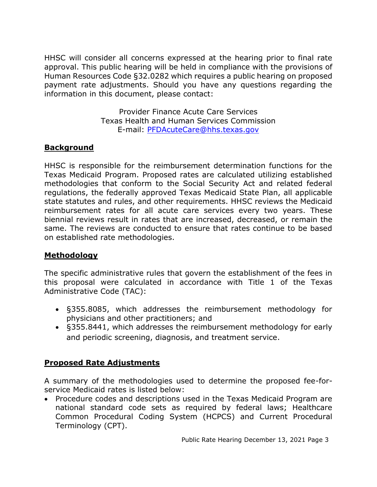HHSC will consider all concerns expressed at the hearing prior to final rate approval. This public hearing will be held in compliance with the provisions of Human Resources Code §32.0282 which requires a public hearing on proposed payment rate adjustments. Should you have any questions regarding the information in this document, please contact:

> Provider Finance Acute Care Services Texas Health and Human Services Commission E-mail: [PFDAcuteCare@hhs.texas.gov](mailto:PFDAcuteCare@hhs.texas.gov)

## **Background**

HHSC is responsible for the reimbursement determination functions for the Texas Medicaid Program. Proposed rates are calculated utilizing established methodologies that conform to the Social Security Act and related federal regulations, the federally approved Texas Medicaid State Plan, all applicable state statutes and rules, and other requirements. HHSC reviews the Medicaid reimbursement rates for all acute care services every two years. These biennial reviews result in rates that are increased, decreased, or remain the same. The reviews are conducted to ensure that rates continue to be based on established rate methodologies.

### **Methodology**

The specific administrative rules that govern the establishment of the fees in this proposal were calculated in accordance with Title 1 of the Texas Administrative Code (TAC):

- §355.8085, which addresses the reimbursement methodology for physicians and other practitioners; and
- §355.8441, which addresses the reimbursement methodology for early and periodic screening, diagnosis, and treatment service.

### **Proposed Rate Adjustments**

A summary of the methodologies used to determine the proposed fee-forservice Medicaid rates is listed below:

• Procedure codes and descriptions used in the Texas Medicaid Program are national standard code sets as required by federal laws; Healthcare Common Procedural Coding System (HCPCS) and Current Procedural Terminology (CPT).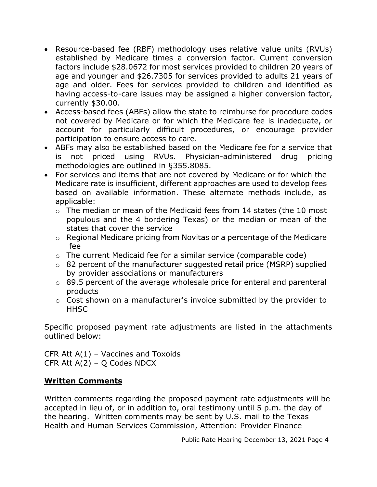- Resource-based fee (RBF) methodology uses relative value units (RVUs) established by Medicare times a conversion factor. Current conversion factors include \$28.0672 for most services provided to children 20 years of age and younger and \$26.7305 for services provided to adults 21 years of age and older. Fees for services provided to children and identified as having access-to-care issues may be assigned a higher conversion factor, currently \$30.00.
- Access-based fees (ABFs) allow the state to reimburse for procedure codes not covered by Medicare or for which the Medicare fee is inadequate, or account for particularly difficult procedures, or encourage provider participation to ensure access to care.
- ABFs may also be established based on the Medicare fee for a service that is not priced using RVUs. Physician-administered drug pricing methodologies are outlined in §355.8085.
- For services and items that are not covered by Medicare or for which the Medicare rate is insufficient, different approaches are used to develop fees based on available information. These alternate methods include, as applicable:
	- o The median or mean of the Medicaid fees from 14 states (the 10 most populous and the 4 bordering Texas) or the median or mean of the states that cover the service
	- o Regional Medicare pricing from Novitas or a percentage of the Medicare fee
	- $\circ$  The current Medicaid fee for a similar service (comparable code)
	- o 82 percent of the manufacturer suggested retail price (MSRP) supplied by provider associations or manufacturers
	- o 89.5 percent of the average wholesale price for enteral and parenteral products
	- o Cost shown on a manufacturer's invoice submitted by the provider to **HHSC**

Specific proposed payment rate adjustments are listed in the attachments outlined below:

CFR Att  $A(1)$  – Vaccines and Toxoids CFR Att A(2) – Q Codes NDCX

#### **Written Comments**

Written comments regarding the proposed payment rate adjustments will be accepted in lieu of, or in addition to, oral testimony until 5 p.m. the day of the hearing. Written comments may be sent by U.S. mail to the Texas Health and Human Services Commission, Attention: Provider Finance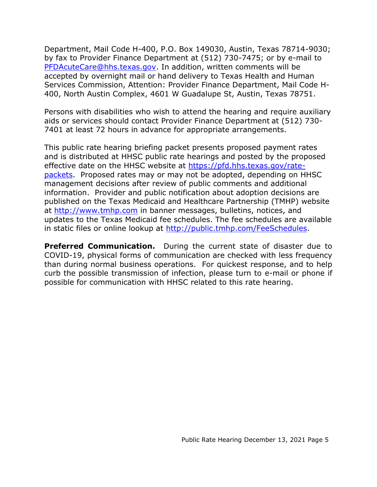Department, Mail Code H-400, P.O. Box 149030, Austin, Texas 78714-9030; by fax to Provider Finance Department at (512) 730-7475; or by e-mail to [PFDAcuteCare@hhs.texas.gov.](mailto:PFDAcuteCare@hhs.texas.gov) In addition, written comments will be accepted by overnight mail or hand delivery to Texas Health and Human Services Commission, Attention: Provider Finance Department, Mail Code H-400, North Austin Complex, 4601 W Guadalupe St, Austin, Texas 78751.

Persons with disabilities who wish to attend the hearing and require auxiliary aids or services should contact Provider Finance Department at (512) 730- 7401 at least 72 hours in advance for appropriate arrangements.

This public rate hearing briefing packet presents proposed payment rates and is distributed at HHSC public rate hearings and posted by the proposed effective date on the HHSC website at [https://pfd.hhs.texas.gov/rate](https://pfd.hhs.texas.gov/rate-packets)[packets.](https://pfd.hhs.texas.gov/rate-packets) Proposed rates may or may not be adopted, depending on HHSC management decisions after review of public comments and additional information. Provider and public notification about adoption decisions are published on the Texas Medicaid and Healthcare Partnership (TMHP) website at [http://www.tmhp.com](http://www.tmhp.com/) in banner messages, bulletins, notices, and updates to the Texas Medicaid fee schedules. The fee schedules are available in static files or online lookup at [http://public.tmhp.com/FeeSchedules.](http://public.tmhp.com/FeeSchedules)

**Preferred Communication.** During the current state of disaster due to COVID-19, physical forms of communication are checked with less frequency than during normal business operations. For quickest response, and to help curb the possible transmission of infection, please turn to e-mail or phone if possible for communication with HHSC related to this rate hearing.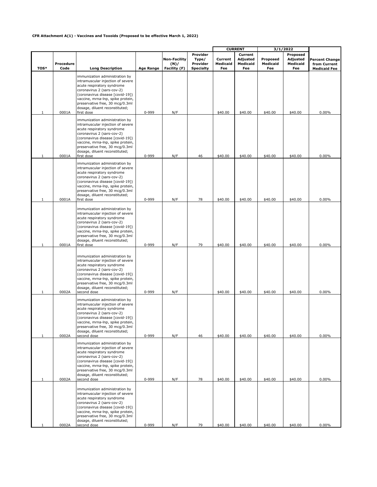#### **CFR Attachment A(1) - Vaccines and Toxoids (Proposed to be effective March 1, 2022)**

|        |                   |                                                                                                                                                                                                                                                                                                             |                    |                                             |                                                   | <b>CURRENT</b>             |                                        | 3/1/2022                    |                                         |                                                       |
|--------|-------------------|-------------------------------------------------------------------------------------------------------------------------------------------------------------------------------------------------------------------------------------------------------------------------------------------------------------|--------------------|---------------------------------------------|---------------------------------------------------|----------------------------|----------------------------------------|-----------------------------|-----------------------------------------|-------------------------------------------------------|
| TOS*   | Procedure<br>Code | <b>Long Description</b>                                                                                                                                                                                                                                                                                     | <b>Age Range</b>   | <b>Non-Facility</b><br>(N)/<br>Facility (F) | Provider<br>Type/<br>Provider<br><b>Specialty</b> | Current<br>Medicaid<br>Fee | Current<br>Adjusted<br>Medicaid<br>Fee | Proposed<br>Medicaid<br>Fee | Proposed<br>Adjusted<br>Medicaid<br>Fee | Percent Change<br>from Current<br><b>Medicaid Fee</b> |
| 1      | 0001A             | immunization administration by<br>intramuscular injection of severe<br>acute respiratory syndrome<br>coronavirus 2 (sars-cov-2)<br>(coronavirus disease [covid-19])<br>vaccine, mrna-lnp, spike protein,<br>preservative free, 30 mcg/0.3ml<br>dosage, diluent reconstituted;<br>first dose                 | 0-999              | N/F                                         |                                                   | \$40.00                    | \$40.00                                | \$40.00                     | \$40.00                                 | 0.00%                                                 |
|        |                   | immunization administration by<br>intramuscular injection of severe<br>acute respiratory syndrome<br>coronavirus 2 (sars-cov-2)<br>(coronavirus disease [covid-19])<br>vaccine, mrna-lnp, spike protein,<br>preservative free, 30 mcg/0.3ml<br>dosage, diluent reconstituted;                               |                    |                                             |                                                   |                            |                                        |                             |                                         |                                                       |
| 1      | 0001A             | first dose<br>immunization administration by<br>intramuscular injection of severe<br>acute respiratory syndrome<br>coronavirus 2 (sars-cov-2)<br>(coronavirus disease [covid-19])<br>vaccine, mrna-lnp, spike protein,<br>preservative free, 30 mcg/0.3ml<br>dosage, diluent reconstituted;                 | 0-999              | N/F                                         | 46                                                | \$40.00                    | \$40.00                                | \$40.00                     | \$40.00                                 | 0.00%                                                 |
| 1      | 0001A             | first dose<br>immunization administration by<br>intramuscular injection of severe<br>acute respiratory syndrome<br>coronavirus 2 (sars-cov-2)<br>(coronavirus disease [covid-19])<br>vaccine, mrna-lnp, spike protein,<br>preservative free, 30 mcg/0.3ml<br>dosage, diluent reconstituted;                 | 0-999              | N/F                                         | 78                                                | \$40.00                    | \$40.00                                | \$40.00                     | \$40.00                                 | 0.00%                                                 |
| 1      | 0001A<br>0002A    | first dose<br>immunization administration by<br>intramuscular injection of severe<br>acute respiratory syndrome<br>coronavirus 2 (sars-cov-2)<br>(coronavirus disease [covid-19])<br>vaccine, mrna-lnp, spike protein,<br>preservative free, 30 mcg/0.3ml<br>dosage, diluent reconstituted;<br>second dose  | 0-999<br>0-999     | N/F<br>N/F                                  | 79                                                | \$40.00<br>\$40.00         | \$40.00<br>\$40.00                     | \$40.00<br>\$40.00          | \$40.00<br>\$40.00                      | 0.00%<br>0.00%                                        |
|        |                   | immunization administration by<br>intramuscular injection of severe<br>acute respiratory syndrome<br>coronavirus 2 (sars-cov-2)<br>(coronavirus disease [covid-19])<br>vaccine, mrna-lnp, spike protein,<br>preservative free, 30 mcg/0.3ml<br>dosage, diluent reconstituted;                               |                    |                                             |                                                   |                            |                                        |                             |                                         |                                                       |
| 1<br>1 | 0002A<br>0002A    | second dose<br>immunization administration by<br>intramuscular injection of severe<br>acute respiratory syndrome<br>coronavirus 2 (sars-cov-2)<br>(coronavirus disease [covid-19])<br>vaccine, mrna-lnp, spike protein,<br>preservative free, 30 mcg/0.3ml<br>dosage, diluent reconstituted;<br>second dose | 0-999<br>$0 - 999$ | N/F<br>N/F                                  | 46<br>78                                          | \$40.00<br>\$40.00         | \$40.00<br>\$40.00                     | \$40.00<br>\$40.00          | \$40.00<br>\$40.00                      | $0.00\%$<br>$0.00\%$                                  |
|        | 0002A             | immunization administration by<br>intramuscular injection of severe<br>acute respiratory syndrome<br>coronavirus 2 (sars-cov-2)<br>(coronavirus disease [covid-19])<br>vaccine, mrna-lnp, spike protein,<br>preservative free, 30 mcg/0.3ml<br>dosage, diluent reconstituted;<br>second dose                | 0-999              | N/F                                         | 79                                                | \$40.00                    | \$40.00                                | \$40.00                     | \$40.00                                 | $0.00\%$                                              |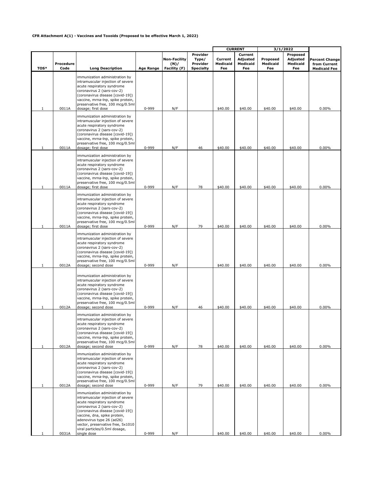#### **CFR Attachment A(1) - Vaccines and Toxoids (Proposed to be effective March 1, 2022)**

|              |                   |                                                                                                                                                                                                                                                                                                                       |                  |                                             |                                                   | <b>CURRENT</b>             |                                        | 3/1/2022                    |                                         |                                                       |
|--------------|-------------------|-----------------------------------------------------------------------------------------------------------------------------------------------------------------------------------------------------------------------------------------------------------------------------------------------------------------------|------------------|---------------------------------------------|---------------------------------------------------|----------------------------|----------------------------------------|-----------------------------|-----------------------------------------|-------------------------------------------------------|
| TOS*         | Procedure<br>Code | <b>Long Description</b>                                                                                                                                                                                                                                                                                               | <b>Age Range</b> | <b>Non-Facility</b><br>(N)/<br>Facility (F) | Provider<br>Type/<br>Provider<br><b>Specialty</b> | Current<br>Medicaid<br>Fee | Current<br>Adjusted<br>Medicaid<br>Fee | Proposed<br>Medicaid<br>Fee | Proposed<br>Adjusted<br>Medicaid<br>Fee | Percent Change<br>from Current<br><b>Medicaid Fee</b> |
| 1            | 0011A             | immunization administration by<br>intramuscular injection of severe<br>acute respiratory syndrome<br>coronavirus 2 (sars-cov-2)<br>(coronavirus disease [covid-19])<br>vaccine, mrna-lnp, spike protein,<br>preservative free, 100 mcg/0.5ml<br>dosage; first dose                                                    | 0-999            | N/F                                         |                                                   | \$40.00                    | \$40.00                                | \$40.00                     | \$40.00                                 | 0.00%                                                 |
|              | 0011A             | immunization administration by<br>intramuscular injection of severe<br>acute respiratory syndrome<br>coronavirus 2 (sars-cov-2)<br>(coronavirus disease [covid-19])<br>vaccine, mrna-lnp, spike protein,<br>preservative free, 100 mcg/0.5ml<br>dosage; first dose                                                    | 0-999            | N/F                                         | 46                                                | \$40.00                    | \$40.00                                | \$40.00                     | \$40.00                                 | 0.00%                                                 |
|              |                   | immunization administration by<br>intramuscular injection of severe<br>acute respiratory syndrome<br>coronavirus 2 (sars-cov-2)<br>(coronavirus disease [covid-19])<br>vaccine, mrna-lnp, spike protein,<br>preservative free, 100 mcg/0.5ml                                                                          |                  |                                             |                                                   |                            |                                        |                             |                                         |                                                       |
| 1            | 0011A             | dosage; first dose<br>immunization administration by<br>intramuscular injection of severe<br>acute respiratory syndrome<br>coronavirus 2 (sars-cov-2)<br>(coronavirus disease [covid-19])<br>vaccine, mrna-lnp, spike protein,<br>preservative free, 100 mcg/0.5ml                                                    | 0-999            | N/F                                         | 78                                                | \$40.00                    | \$40.00                                | \$40.00                     | \$40.00                                 | 0.00%                                                 |
|              | 0011A             | dosage; first dose<br>immunization administration by<br>intramuscular injection of severe<br>acute respiratory syndrome<br>coronavirus 2 (sars-cov-2)<br>(coronavirus disease [covid-19])<br>vaccine, mrna-lnp, spike protein,<br>preservative free, 100 mcg/0.5ml                                                    | 0-999            | N/F                                         | 79                                                | \$40.00                    | \$40.00                                | \$40.00                     | \$40.00                                 | 0.00%                                                 |
| 1<br>1       | 0012A<br>0012A    | dosage; second dose<br>immunization administration by<br>intramuscular injection of severe<br>acute respiratory syndrome<br>coronavirus 2 (sars-cov-2)<br>(coronavirus disease [covid-19])<br>vaccine, mrna-lnp, spike protein,<br>preservative free, 100 mcg/0.5ml<br>dosage; second dose                            | 0-999<br>0-999   | N/F<br>N/F                                  | 46                                                | \$40.00<br>\$40.00         | \$40.00<br>\$40.00                     | \$40.00<br>\$40.00          | \$40.00<br>\$40.00                      | 0.00%<br>0.00%                                        |
| 1            | 0012A             | immunization administration by<br>intramuscular injection of severe<br>acute respiratory syndrome<br>coronavirus 2 (sars-cov-2)<br>(coronavirus disease [covid-19])<br>vaccine, mrna-lnp, spike protein,<br>preservative free, 100 mcg/0.5ml<br>dosage; second dose                                                   | 0-999            | N/F                                         | 78                                                | \$40.00                    | \$40.00                                | \$40.00                     | \$40.00                                 | $0.00\%$                                              |
| $\mathbf{1}$ | 0012A             | immunization administration by<br>intramuscular injection of severe<br>acute respiratory syndrome<br>coronavirus 2 (sars-cov-2)<br>(coronavirus disease [covid-19])<br>vaccine, mrna-lnp, spike protein,<br>preservative free, 100 mcg/0.5ml<br>dosage; second dose                                                   | 0-999            | N/F                                         | 79                                                | \$40.00                    | \$40.00                                | \$40.00                     | \$40.00                                 | $0.00\%$                                              |
|              | 0031A             | immunization administration by<br>intramuscular injection of severe<br>acute respiratory syndrome<br>coronavirus 2 (sars-cov-2)<br>(coronavirus disease [covid-19])<br>vaccine, dna, spike protein,<br>adenovirus type 26 (ad26)<br>vector, preservative free, 5x1010<br>viral particles/0.5ml dosage,<br>single dose | 0-999            | N/F                                         |                                                   | \$40.00                    | \$40.00                                | \$40.00                     | \$40.00                                 | 0.00%                                                 |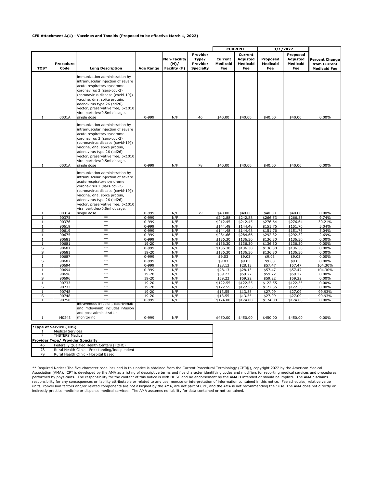#### **CFR Attachment A(1) - Vaccines and Toxoids (Proposed to be effective March 1, 2022)**

|                   |                   |                                                                                                                                                                                                                                                                                                                       |                        |                                             |                                                   | <b>CURRENT</b>             |                                               | 3/1/2022                    |                                         |                                                       |
|-------------------|-------------------|-----------------------------------------------------------------------------------------------------------------------------------------------------------------------------------------------------------------------------------------------------------------------------------------------------------------------|------------------------|---------------------------------------------|---------------------------------------------------|----------------------------|-----------------------------------------------|-----------------------------|-----------------------------------------|-------------------------------------------------------|
| TOS*              | Procedure<br>Code | <b>Long Description</b>                                                                                                                                                                                                                                                                                               | <b>Age Range</b>       | <b>Non-Facility</b><br>(N)/<br>Facility (F) | Provider<br>Type/<br>Provider<br><b>Specialty</b> | Current<br>Medicaid<br>Fee | Current<br><b>Adjusted</b><br>Medicaid<br>Fee | Proposed<br>Medicaid<br>Fee | Proposed<br>Adjusted<br>Medicaid<br>Fee | Percent Change<br>from Current<br><b>Medicaid Fee</b> |
| 1                 | 0031A             | immunization administration by<br>intramuscular injection of severe<br>acute respiratory syndrome<br>coronavirus 2 (sars-cov-2)<br>(coronavirus disease [covid-19])<br>vaccine, dna, spike protein,<br>adenovirus type 26 (ad26)<br>vector, preservative free, 5x1010<br>viral particles/0.5ml dosage,<br>single dose | 0-999                  | N/F                                         | 46                                                | \$40.00                    | \$40.00                                       | \$40.00                     | \$40.00                                 | 0.00%                                                 |
| 1                 | 0031A             | immunization administration by<br>intramuscular injection of severe<br>acute respiratory syndrome<br>coronavirus 2 (sars-cov-2)<br>(coronavirus disease [covid-19])<br>vaccine, dna, spike protein,<br>adenovirus type 26 (ad26)<br>vector, preservative free, 5x1010<br>viral particles/0.5ml dosage,<br>single dose | 0-999                  | N/F                                         | 78                                                | \$40.00                    | \$40.00                                       | \$40.00                     | \$40.00                                 | 0.00%                                                 |
|                   |                   | immunization administration by<br>intramuscular injection of severe<br>acute respiratory syndrome<br>coronavirus 2 (sars-cov-2)<br>(coronavirus disease [covid-19])<br>vaccine, dna, spike protein,<br>adenovirus type 26 (ad26)<br>vector, preservative free, 5x1010<br>viral particles/0.5ml dosage,                |                        |                                             |                                                   |                            |                                               |                             |                                         |                                                       |
| 1                 | 0031A             | single dose                                                                                                                                                                                                                                                                                                           | 0-999                  | N/F                                         | 79                                                | \$40.00                    | \$40.00                                       | \$40.00                     | \$40.00                                 | 0.00%                                                 |
| 1                 | 90375             | $**$                                                                                                                                                                                                                                                                                                                  | 0-999                  | N/F                                         |                                                   | \$242.88                   | \$242.88                                      | \$266.53                    | \$266.53                                | 9.74%                                                 |
| $\mathbf{1}$      | 90376             | $**$<br>$**$                                                                                                                                                                                                                                                                                                          | 0-999                  | N/F                                         |                                                   | \$212.45                   | \$212.45                                      | \$276.64                    | \$276.64                                | 30.21%                                                |
| $\mathbf{1}$<br>S | 90619<br>90619    | $**$                                                                                                                                                                                                                                                                                                                  | 0-999<br>0-999         | N/F<br>N/F                                  |                                                   | \$144.48<br>\$144.48       | \$144.48<br>\$144.48                          | \$151.76<br>\$151.76        | \$151.76<br>\$151.76                    | 5.04%<br>5.04%                                        |
| $\mathbf{1}$      | 90675             | $**$                                                                                                                                                                                                                                                                                                                  | 0-999                  | N/F                                         |                                                   | \$284.66                   | \$284.66                                      | \$292.32                    | \$292.32                                | 2.69%                                                 |
| $\mathbf{1}$      | 90681             | $**$                                                                                                                                                                                                                                                                                                                  | 0-999                  | N/F                                         |                                                   | \$136.30                   | \$136.30                                      | \$136.30                    | \$136.30                                | 0.00%                                                 |
| $\mathbf{1}$      | 90681             | $**$                                                                                                                                                                                                                                                                                                                  | $19 - 20$              | N/F                                         |                                                   | \$136.30                   | \$136.30                                      | \$136.30                    | \$136.30                                | 0.00%                                                 |
| S                 | 90681             | $**$                                                                                                                                                                                                                                                                                                                  | 0-999                  | N/F                                         |                                                   | \$136.30                   | \$136.30                                      | \$136.30                    | \$136.30                                | 0.00%                                                 |
| S                 | 90681             | $**$                                                                                                                                                                                                                                                                                                                  | 19-20                  | N/F                                         |                                                   | \$136.30                   | \$136.30                                      | \$136.30                    | \$136.30                                | 0.00%                                                 |
| 1                 | 90687             | $**$                                                                                                                                                                                                                                                                                                                  | $0 - 999$              | N/F                                         |                                                   | \$9.03                     | \$9.03                                        | \$9.03                      | \$9.03                                  | 0.00%                                                 |
| S                 | 90687             | $**$                                                                                                                                                                                                                                                                                                                  | 0-999                  | N/F                                         |                                                   | \$9.03                     | \$9.03                                        | \$9.03                      | \$9.03                                  | 0.00%                                                 |
| $\mathbf{1}$      | 90694             | $**$<br>$**$                                                                                                                                                                                                                                                                                                          | 0-999                  | N/F                                         |                                                   | \$28.13                    | \$28.13                                       | \$57.47                     | \$57.47                                 | 104.30%                                               |
| 1                 | 90694             | $**$                                                                                                                                                                                                                                                                                                                  | 0-999                  | N/F                                         |                                                   | \$28.13                    | \$28.13                                       | \$57.47                     | \$57.47                                 | 104.30%                                               |
| $\mathbf{1}$      | 90696<br>90696    | $**$                                                                                                                                                                                                                                                                                                                  | $19 - 20$<br>$19 - 20$ | N/F<br>N/F                                  |                                                   | \$59.22                    | \$59.22                                       | \$59.22                     | \$59.22                                 | 0.00%                                                 |
| S<br>$\mathbf{1}$ | 90733             | $**$                                                                                                                                                                                                                                                                                                                  | $19 - 20$              | N/F                                         |                                                   | \$59.22<br>\$122.55        | \$59.22<br>\$122.55                           | \$59.22<br>\$122.55         | \$59.22<br>\$122.55                     | 0.00%<br>0.00%                                        |
| S                 | 90733             | $**$                                                                                                                                                                                                                                                                                                                  | 19-20                  | N/F                                         |                                                   | \$122.55                   | \$122.55                                      | \$122.55                    | \$122.55                                | $0.00\%$                                              |
| 1                 | 90748             | $**$                                                                                                                                                                                                                                                                                                                  | $19 - 20$              | N/F                                         |                                                   | \$13.55                    | \$13.55                                       | \$27.09                     | \$27.09                                 | 99.93%                                                |
| s                 | 90748             | $**$                                                                                                                                                                                                                                                                                                                  | $19 - 20$              | N/F                                         |                                                   | \$13.55                    | \$13.55                                       | \$27.09                     | \$27.09                                 | 99.93%                                                |
| $\mathbf{1}$      | 90750             | $**$                                                                                                                                                                                                                                                                                                                  | $0 - 999$              | N/F                                         |                                                   | \$174.00                   | \$174.00                                      | \$174.00                    | \$174.00                                | $0.00\%$                                              |
|                   |                   | intravenous infusion, casirivimab<br>and imdevimab, includes infusion<br>and post administration                                                                                                                                                                                                                      |                        |                                             |                                                   |                            |                                               |                             |                                         |                                                       |
| 1                 | M0243             | monitoring                                                                                                                                                                                                                                                                                                            | 0-999                  | N/F                                         |                                                   | \$450.00                   | \$450.00                                      | \$450.00                    | \$450.00                                | 0.00%                                                 |

|    | <b>*Type of Service (TOS)</b>                  |  |  |  |  |  |  |
|----|------------------------------------------------|--|--|--|--|--|--|
|    | <b>Medical Services</b>                        |  |  |  |  |  |  |
|    | <b>THSTEPS Medical</b>                         |  |  |  |  |  |  |
|    | <b>Provider Type/ Provider Specialty</b>       |  |  |  |  |  |  |
| 46 | Federally Qualified Health Centers (FQHC)      |  |  |  |  |  |  |
| 78 | Rural Health Clinic - Freestanding/Independent |  |  |  |  |  |  |
| 79 | Rural Health Clinic - Hospital Based           |  |  |  |  |  |  |

\*\* Required Notice: The five-character code included in this notice is obtained from the Current Procedural Terminology (CPT®), copyright 2022 by the American Medical Association (AMA). CPT is developed by the AMA as a listing of descriptive terms and five character identifying codes and modifiers for reporting medical services and procedures<br>performed by physicians. The responsibility responsibility for any consequences or liability attributable or related to any use, nonuse or interpretation of information contained in this notice. Fee schedules, relative value units, conversion factors and/or related components are not assigned by the AMA, are not part of CPT, and the AMA is not recommending their use. The AMA does not directly or indirectly practice medicine or dispense medical services. The AMA assumes no liability for data contained or not contained.